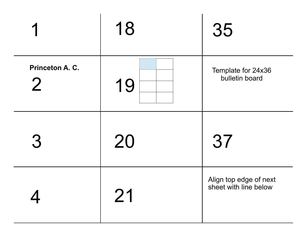|                                   | 18 | 35                                              |
|-----------------------------------|----|-------------------------------------------------|
| Princeton A. C.<br>$\overline{2}$ | 19 | Template for 24x36<br>bulletin board            |
| 3                                 | 20 | 37                                              |
|                                   | 21 | Align top edge of next<br>sheet with line below |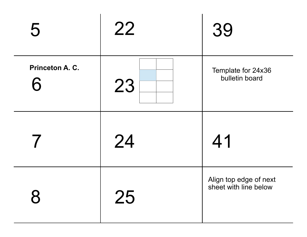| 5                    | 22 | 39                                              |
|----------------------|----|-------------------------------------------------|
| Princeton A. C.<br>6 | 23 | Template for 24x36<br>bulletin board            |
|                      | 24 | 41                                              |
| 8                    | 25 | Align top edge of next<br>sheet with line below |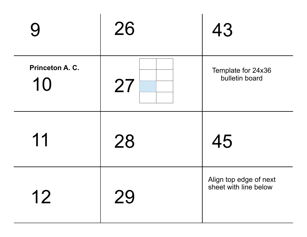| 9                     | 26 | 43                                              |
|-----------------------|----|-------------------------------------------------|
| Princeton A. C.<br>10 | 27 | Template for 24x36<br>bulletin board            |
| 11                    | 28 | 45                                              |
| 12                    | 29 | Align top edge of next<br>sheet with line below |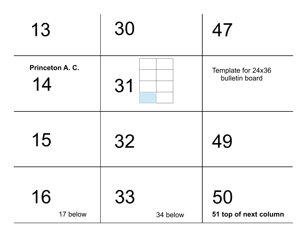| 13                    | 30             | 47                                   |
|-----------------------|----------------|--------------------------------------|
| Princeton A. C.<br>14 | 31             | Template for 24x36<br>bulletin board |
| 15                    | 32             | 49                                   |
| 16<br>17 below        | 33<br>34 below | 50<br>51 top of next column          |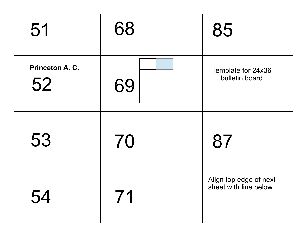| 51                    | 68 | 85                                              |
|-----------------------|----|-------------------------------------------------|
| Princeton A. C.<br>52 | 69 | Template for 24x36<br>bulletin board            |
| 53                    | 70 | 87                                              |
| 54                    | 71 | Align top edge of next<br>sheet with line below |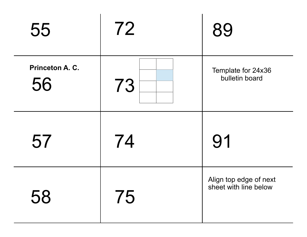| 55                    | 72 | 89                                              |
|-----------------------|----|-------------------------------------------------|
| Princeton A. C.<br>56 | 73 | Template for 24x36<br>bulletin board            |
| 57                    | 74 | 91                                              |
| 58                    | 75 | Align top edge of next<br>sheet with line below |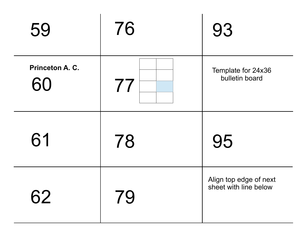| 59                    | 76 | 93                                              |
|-----------------------|----|-------------------------------------------------|
| Princeton A. C.<br>60 | 77 | Template for 24x36<br>bulletin board            |
| 61                    | 78 | 95                                              |
| 62                    | 79 | Align top edge of next<br>sheet with line below |